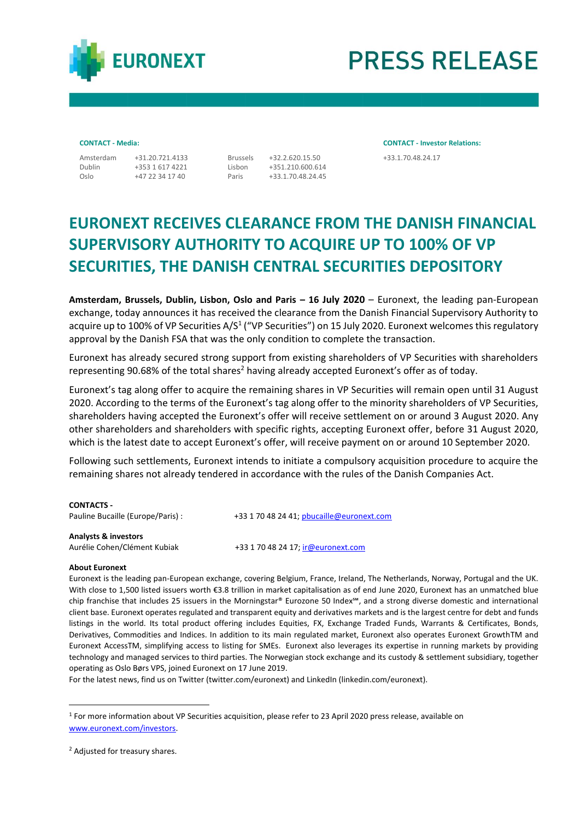

# **PRESS RELEASE**

Dublin Oslo

+353 1 617 4221 +47 22 34 17 40

Lisbon +351.210.600.614 +33.1.70.48.24.45

Paris

**CONTACT - Media: CONTACT - Investor Relations:** Amsterdam +31.20.721.4133 Brussels +32.2.620.15.50 +33.1.70.48.24.17

## **EURONEXT RECEIVES CLEARANCE FROM THE DANISH FINANCIAL SUPERVISORY AUTHORITY TO ACQUIRE UP TO 100% OF VP SECURITIES, THE DANISH CENTRAL SECURITIES DEPOSITORY**

**Amsterdam, Brussels, Dublin, Lisbon, Oslo and Paris – 16 July 2020** – Euronext, the leading pan-European exchange, today announces it has received the clearance from the Danish Financial Supervisory Authority to acquire up to 100% of VP Securities A/S<sup>1</sup> ("VP Securities") on 15 July 2020. Euronext welcomes this regulatory approval by the Danish FSA that was the only condition to complete the transaction.

Euronext has already secured strong support from existing shareholders of VP Securities with shareholders representing 90.68% of the total shares<sup>2</sup> having already accepted Euronext's offer as of today.

Euronext's tag along offer to acquire the remaining shares in VP Securities will remain open until 31 August 2020. According to the terms of the Euronext's tag along offer to the minority shareholders of VP Securities, shareholders having accepted the Euronext's offer will receive settlement on or around 3 August 2020. Any other shareholders and shareholders with specific rights, accepting Euronext offer, before 31 August 2020, which is the latest date to accept Euronext's offer, will receive payment on or around 10 September 2020.

Following such settlements, Euronext intends to initiate a compulsory acquisition procedure to acquire the remaining shares not already tendered in accordance with the rules of the Danish Companies Act.

| <b>CONTACTS -</b><br>Pauline Bucaille (Europe/Paris) :          | +33 1 70 48 24 41; pbucaille@euronext.com |
|-----------------------------------------------------------------|-------------------------------------------|
| <b>Analysts &amp; investors</b><br>Aurélie Cohen/Clément Kubiak | +33 1 70 48 24 17; ir@euronext.com        |

### **About Euronext**

Euronext is the leading pan-European exchange, covering Belgium, France, Ireland, The Netherlands, Norway, Portugal and the UK. With close to 1,500 listed issuers worth €3.8 trillion in market capitalisation as of end June 2020, Euronext has an unmatched blue chip franchise that includes 25 issuers in the Morningstar® Eurozone 50 Index℠, and a strong diverse domestic and international client base. Euronext operates regulated and transparent equity and derivatives markets and is the largest centre for debt and funds listings in the world. Its total product offering includes Equities, FX, Exchange Traded Funds, Warrants & Certificates, Bonds, Derivatives, Commodities and Indices. In addition to its main regulated market, Euronext also operates Euronext GrowthTM and Euronext AccessTM, simplifying access to listing for SMEs. Euronext also leverages its expertise in running markets by providing technology and managed services to third parties. The Norwegian stock exchange and its custody & settlement subsidiary, together operating as Oslo Børs VPS, joined Euronext on 17 June 2019.

For the latest news, find us on Twitter [\(twitter.com/euronext\)](https://twitter.com/euronext) and LinkedIn [\(linkedin.com/euronext\)](https://www.linkedin.com/company/euronext).

<sup>&</sup>lt;sup>1</sup> For more information about VP Securities acquisition, please refer to 23 April 2020 press release, available on [www.euronext.com/investors.](http://www.euronext.com/investors)

<sup>2</sup> Adjusted for treasury shares.